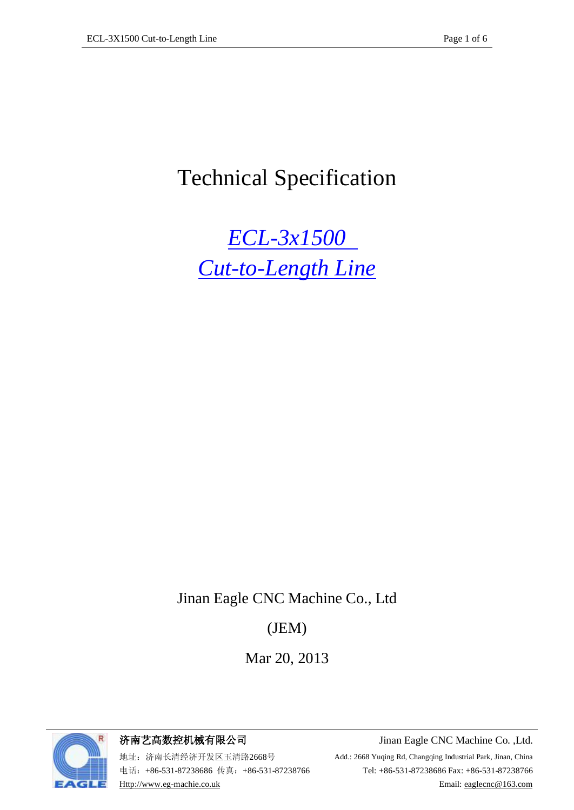# Technical Specification

*ECL-3x1500 Cut-to-Length Line*

Jinan Eagle CNC Machine Co., Ltd

## (JEM)

Mar 20, 2013



济南艺高数控机械有限公司 Jinan Eagle CNC Machine Co. ,Ltd.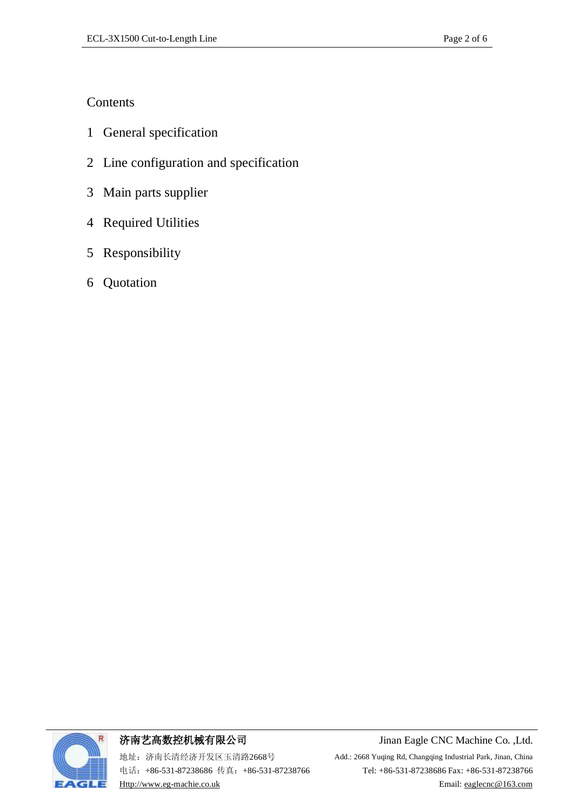### **Contents**

- 1 General specification
- 2 Line configuration and specification
- 3 Main parts supplier
- 4 Required Utilities
- 5 Responsibility
- 6 Quotation



济南艺高数控机械有限公司 Jinan Eagle CNC Machine Co. ,Ltd.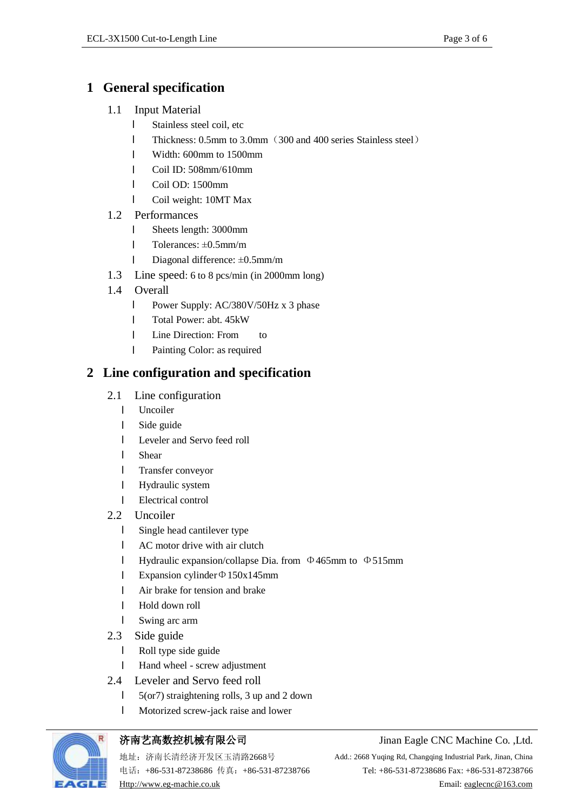### **1 General specification**

- 1.1 Input Material
	- l Stainless steel coil, etc
	- l Thickness: 0.5mm to 3.0mm(300 and 400 series Stainless steel)
	- l Width: 600mm to 1500mm
	- l Coil ID: 508mm/610mm
	- l Coil OD: 1500mm
	- l Coil weight: 10MT Max
- 1.2 Performances
	- l Sheets length: 3000mm
	- l Tolerances: ±0.5mm/m
	- l Diagonal difference: ±0.5mm/m
- 1.3 Line speed: 6 to 8 pcs/min (in 2000mm long)
- 1.4 Overall
	- l Power Supply: AC/380V/50Hz x 3 phase
	- l Total Power: abt. 45kW
	- **I** Line Direction: From to
	- l Painting Color: as required

### **2 Line configuration and specification**

- 2.1 Line configuration
	- l Uncoiler
	- l Side guide
	- l Leveler and Servo feed roll
	- l Shear
	- l Transfer conveyor
	- l Hydraulic system
	- l Electrical control
- 2.2 Uncoiler
	- l Single head cantilever type
	- l AC motor drive with air clutch
	- l Hydraulic expansion/collapse Dia. from Φ465mm to Φ515mm
	- l Expansion cylinder  $\Phi$ 150x145mm
	- l Air brake for tension and brake
	- l Hold down roll
	- l Swing arc arm
- 2.3 Side guide
	- l Roll type side guide
	- l Hand wheel screw adjustment
- 2.4 Leveler and Servo feed roll
	- l 5(or7) straightening rolls, 3 up and 2 down
	- l Motorized screw-jack raise and lower



#### 济南艺高数控机械有限公司 Jinan Eagle CNC Machine Co. ,Ltd.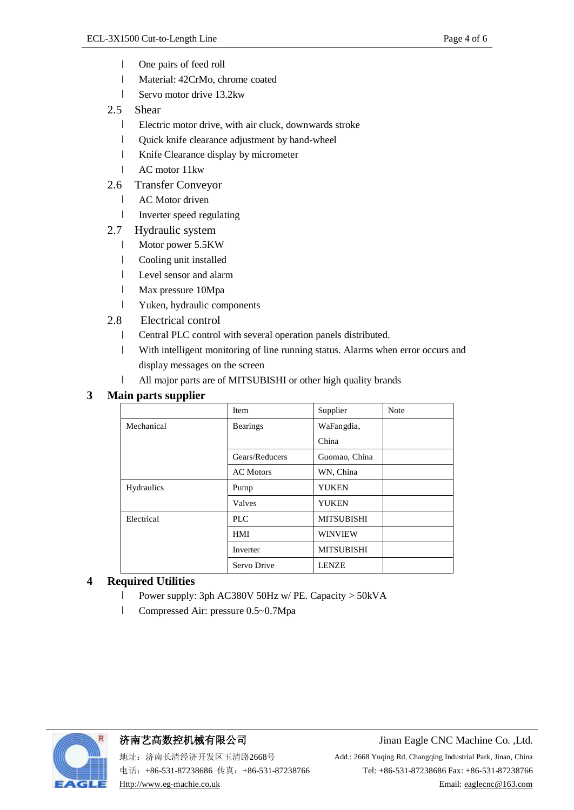- l One pairs of feed roll
- l Material: 42CrMo, chrome coated
- l Servo motor drive 13.2kw
- 2.5 Shear
	- l Electric motor drive, with air cluck, downwards stroke
	- l Quick knife clearance adjustment by hand-wheel
	- l Knife Clearance display by micrometer
	- l AC motor 11kw
- 2.6 Transfer Conveyor
	- **I** AC Motor driven
	- l Inverter speed regulating
- 2.7 Hydraulic system
	- l Motor power 5.5KW
	- l Cooling unit installed
	- l Level sensor and alarm
	- l Max pressure 10Mpa
	- l Yuken, hydraulic components
- 2.8 Electrical control
	- l Central PLC control with several operation panels distributed.
	- l With intelligent monitoring of line running status. Alarms when error occurs and display messages on the screen
	- l All major parts are of MITSUBISHI or other high quality brands

#### **3 Main parts supplier**

| Item             | Supplier          | <b>Note</b> |
|------------------|-------------------|-------------|
| <b>Bearings</b>  | WaFangdia,        |             |
|                  | China             |             |
| Gears/Reducers   | Guomao, China     |             |
| <b>AC</b> Motors | WN, China         |             |
| Pump             | <b>YUKEN</b>      |             |
| Valves           | <b>YUKEN</b>      |             |
| PLC              | <b>MITSUBISHI</b> |             |
| <b>HMI</b>       | <b>WINVIEW</b>    |             |
| Inverter         | <b>MITSUBISHI</b> |             |
| Servo Drive      | <b>LENZE</b>      |             |
|                  |                   |             |

#### **4 Required Utilities**

- l Power supply: 3ph AC380V 50Hz w/ PE. Capacity > 50kVA
- l Compressed Air: pressure 0.5~0.7Mpa



#### 济南艺高数控机械有限公司 Jinan Eagle CNC Machine Co. ,Ltd.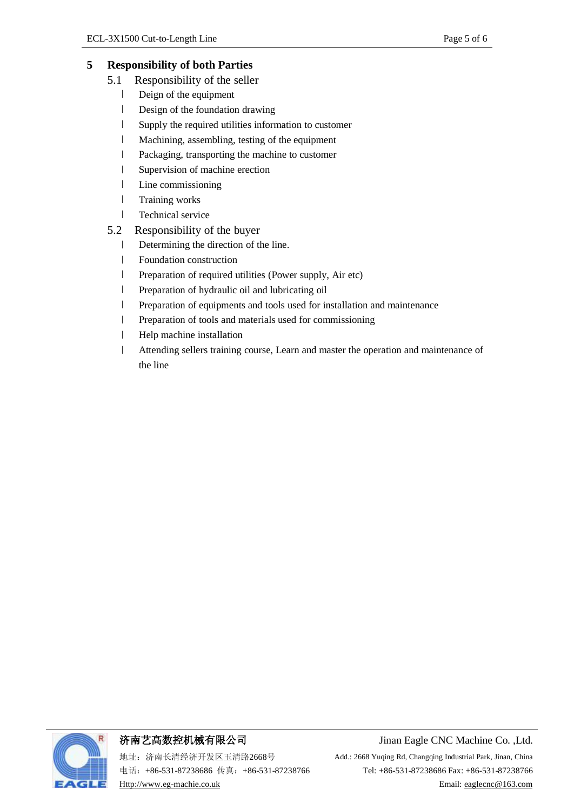#### **5 Responsibility of both Parties**

- 5.1 Responsibility of the seller
	- l Deign of the equipment
	- l Design of the foundation drawing
	- l Supply the required utilities information to customer
	- l Machining, assembling, testing of the equipment
	- l Packaging, transporting the machine to customer
	- l Supervision of machine erection
	- l Line commissioning
	- **l** Training works
	- **l** Technical service
- 5.2 Responsibility of the buyer
	- l Determining the direction of the line.
	- **I** Foundation construction
	- l Preparation of required utilities (Power supply, Air etc)
	- l Preparation of hydraulic oil and lubricating oil
	- l Preparation of equipments and tools used for installation and maintenance
	- l Preparation of tools and materials used for commissioning
	- l Help machine installation
	- l Attending sellers training course, Learn and master the operation and maintenance of the line

济南艺高数控机械有限公司 Jinan Eagle CNC Machine Co. ,Ltd.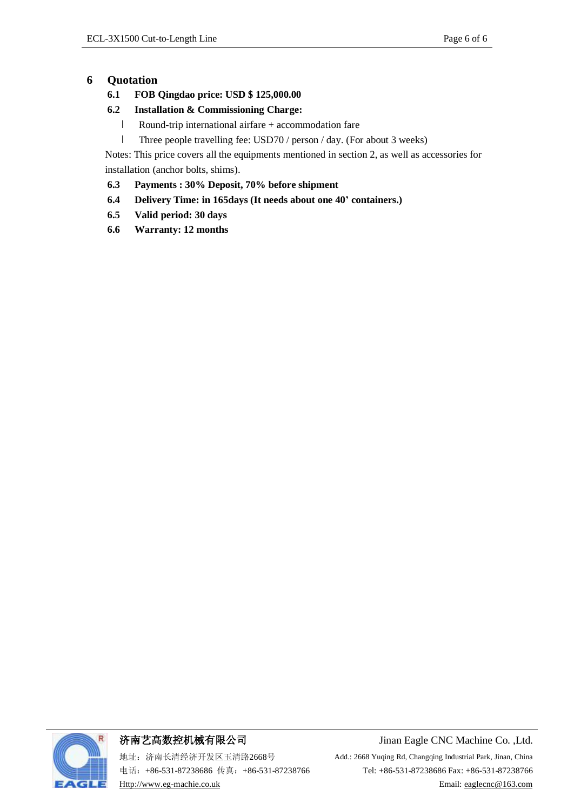#### **6 Quotation**

- **6.1 FOB Qingdao price: USD \$ 125,000.00**
- **6.2 Installation & Commissioning Charge:**
	- l Round-trip international airfare + accommodation fare
	- l Three people travelling fee: USD70 / person / day. (For about 3 weeks)

Notes: This price covers all the equipments mentioned in section 2, as well as accessories for installation (anchor bolts, shims).

- **6.3 Payments : 30% Deposit, 70% before shipment**
- **6.4 Delivery Time: in 165days (It needs about one 40' containers.)**
- **6.5 Valid period: 30 days**
- **6.6 Warranty: 12 months**



地址:济南长清经济开发区玉清路2668号 Add.: 2668 Yuqing Rd, Changqing Industrial Park, Jinan, China

济南艺高数控机械有限公司 Jinan Eagle CNC Machine Co. ,Ltd.

电话: +86-531-87238686 传真: +86-531-87238766 Tel: +86-531-87238686 Fax: +86-531-87238766 [Http://www.eg-machie.co.uk](http://www.eg-machie.co.uk) Email: [eaglecnc@163.com](mailto:eaglecnc@163.com)